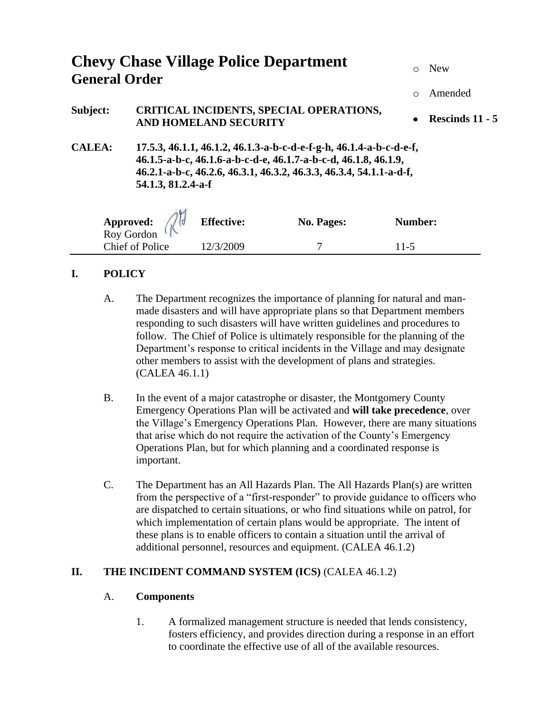| <b>Chevy Chase Village Police Department</b><br><b>General Order</b> |                                                                                                                                                                                                                                     |                   |                   | $\circ$    | <b>New</b>        |
|----------------------------------------------------------------------|-------------------------------------------------------------------------------------------------------------------------------------------------------------------------------------------------------------------------------------|-------------------|-------------------|------------|-------------------|
|                                                                      |                                                                                                                                                                                                                                     |                   |                   | $\bigcirc$ | Amended           |
| Subject:                                                             | <b>CRITICAL INCIDENTS, SPECIAL OPERATIONS,</b><br><b>AND HOMELAND SECURITY</b>                                                                                                                                                      |                   |                   | $\bullet$  | Rescinds $11 - 5$ |
| <b>CALEA:</b>                                                        | 17.5.3, 46.1.1, 46.1.2, 46.1.3-a-b-c-d-e-f-g-h, 46.1.4-a-b-c-d-e-f,<br>46.1.5-a-b-c, 46.1.6-a-b-c-d-e, 46.1.7-a-b-c-d, 46.1.8, 46.1.9,<br>46.2.1-a-b-c, 46.2.6, 46.3.1, 46.3.2, 46.3.3, 46.3.4, 54.1.1-a-d-f,<br>54.1.3, 81.2.4-a-f |                   |                   |            |                   |
| Approved: 2                                                          |                                                                                                                                                                                                                                     | <b>Effective:</b> | <b>No. Pages:</b> | Number:    |                   |
| <b>Chief of Police</b>                                               |                                                                                                                                                                                                                                     | 12/3/2009         |                   | $11-5$     |                   |

### **I. POLICY**

- A. The Department recognizes the importance of planning for natural and manmade disasters and will have appropriate plans so that Department members responding to such disasters will have written guidelines and procedures to follow. The Chief of Police is ultimately responsible for the planning of the Department's response to critical incidents in the Village and may designate other members to assist with the development of plans and strategies. (CALEA 46.1.1)
- B. In the event of a major catastrophe or disaster, the Montgomery County Emergency Operations Plan will be activated and **will take precedence**, over the Village's Emergency Operations Plan. However, there are many situations that arise which do not require the activation of the County's Emergency Operations Plan, but for which planning and a coordinated response is important.
- C. The Department has an All Hazards Plan. The All Hazards Plan(s) are written from the perspective of a "first-responder" to provide guidance to officers who are dispatched to certain situations, or who find situations while on patrol, for which implementation of certain plans would be appropriate. The intent of these plans is to enable officers to contain a situation until the arrival of additional personnel, resources and equipment. (CALEA 46.1.2)

### **II.** THE INCIDENT COMMAND SYSTEM (ICS) (CALEA 46.1.2)

### A. **Components**

1. A formalized management structure is needed that lends consistency, fosters efficiency, and provides direction during a response in an effort to coordinate the effective use of all of the available resources.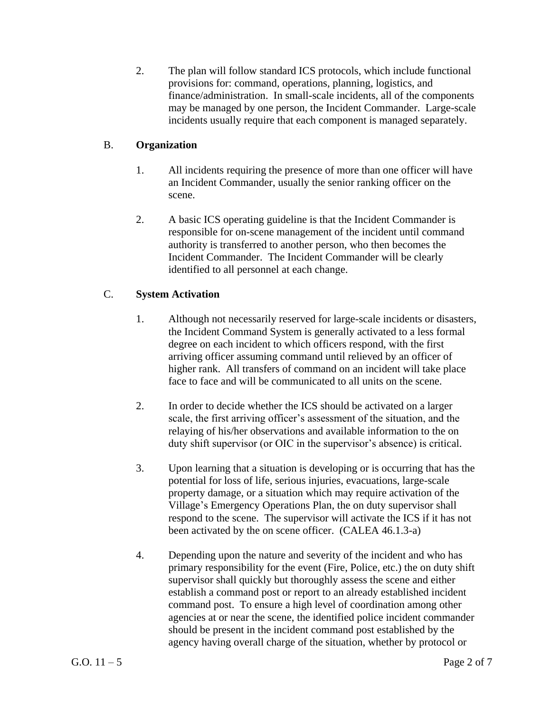2. The plan will follow standard ICS protocols, which include functional provisions for: command, operations, planning, logistics, and finance/administration. In small-scale incidents, all of the components may be managed by one person, the Incident Commander. Large-scale incidents usually require that each component is managed separately.

### B. **Organization**

- 1. All incidents requiring the presence of more than one officer will have an Incident Commander, usually the senior ranking officer on the scene.
- 2. A basic ICS operating guideline is that the Incident Commander is responsible for on-scene management of the incident until command authority is transferred to another person, who then becomes the Incident Commander. The Incident Commander will be clearly identified to all personnel at each change.

# C. **System Activation**

- 1. Although not necessarily reserved for large-scale incidents or disasters, the Incident Command System is generally activated to a less formal degree on each incident to which officers respond, with the first arriving officer assuming command until relieved by an officer of higher rank. All transfers of command on an incident will take place face to face and will be communicated to all units on the scene.
- 2. In order to decide whether the ICS should be activated on a larger scale, the first arriving officer's assessment of the situation, and the relaying of his/her observations and available information to the on duty shift supervisor (or OIC in the supervisor's absence) is critical.
- 3. Upon learning that a situation is developing or is occurring that has the potential for loss of life, serious injuries, evacuations, large-scale property damage, or a situation which may require activation of the Village's Emergency Operations Plan, the on duty supervisor shall respond to the scene. The supervisor will activate the ICS if it has not been activated by the on scene officer. (CALEA 46.1.3-a)
- 4. Depending upon the nature and severity of the incident and who has primary responsibility for the event (Fire, Police, etc.) the on duty shift supervisor shall quickly but thoroughly assess the scene and either establish a command post or report to an already established incident command post. To ensure a high level of coordination among other agencies at or near the scene, the identified police incident commander should be present in the incident command post established by the agency having overall charge of the situation, whether by protocol or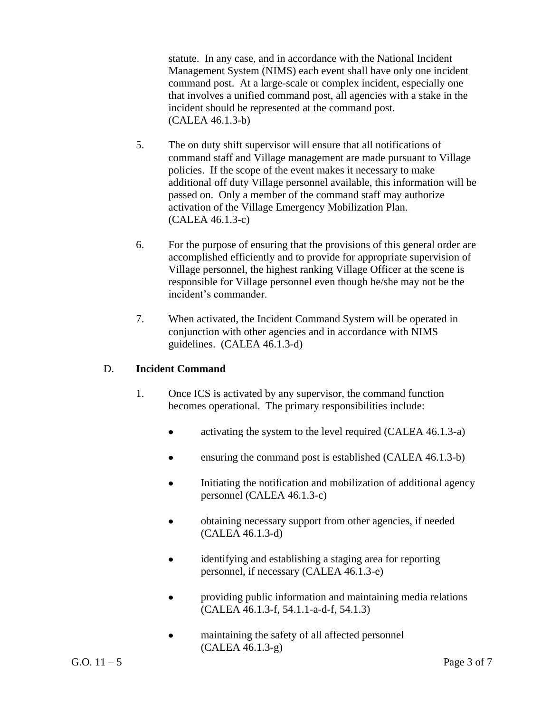statute. In any case, and in accordance with the National Incident Management System (NIMS) each event shall have only one incident command post. At a large-scale or complex incident, especially one that involves a unified command post, all agencies with a stake in the incident should be represented at the command post. (CALEA 46.1.3-b)

- 5. The on duty shift supervisor will ensure that all notifications of command staff and Village management are made pursuant to Village policies. If the scope of the event makes it necessary to make additional off duty Village personnel available, this information will be passed on. Only a member of the command staff may authorize activation of the Village Emergency Mobilization Plan. (CALEA 46.1.3-c)
- 6. For the purpose of ensuring that the provisions of this general order are accomplished efficiently and to provide for appropriate supervision of Village personnel, the highest ranking Village Officer at the scene is responsible for Village personnel even though he/she may not be the incident's commander.
- 7. When activated, the Incident Command System will be operated in conjunction with other agencies and in accordance with NIMS guidelines. (CALEA 46.1.3-d)

### D. **Incident Command**

- 1. Once ICS is activated by any supervisor, the command function becomes operational. The primary responsibilities include:
	- activating the system to the level required (CALEA 46.1.3-a)
	- ensuring the command post is established (CALEA 46.1.3-b)
	- $\bullet$ Initiating the notification and mobilization of additional agency personnel (CALEA 46.1.3-c)
	- obtaining necessary support from other agencies, if needed (CALEA 46.1.3-d)
	- identifying and establishing a staging area for reporting  $\bullet$ personnel, if necessary (CALEA 46.1.3-e)
	- providing public information and maintaining media relations  $\bullet$ (CALEA 46.1.3-f, 54.1.1-a-d-f, 54.1.3)
	- maintaining the safety of all affected personnel  $\bullet$ (CALEA 46.1.3-g)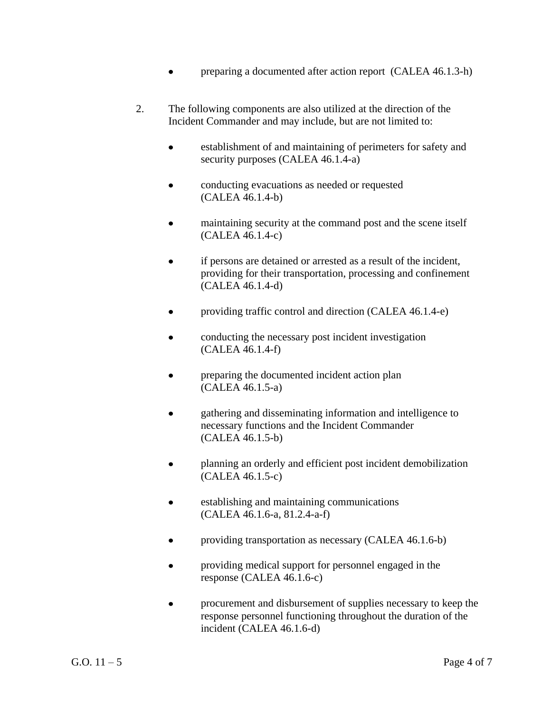- preparing a documented after action report (CALEA 46.1.3-h)
- 2. The following components are also utilized at the direction of the Incident Commander and may include, but are not limited to:
	- establishment of and maintaining of perimeters for safety and security purposes (CALEA 46.1.4-a)
	- conducting evacuations as needed or requested (CALEA 46.1.4-b)
	- maintaining security at the command post and the scene itself (CALEA 46.1.4-c)
	- if persons are detained or arrested as a result of the incident, providing for their transportation, processing and confinement (CALEA 46.1.4-d)
	- providing traffic control and direction (CALEA 46.1.4-e)  $\bullet$
	- conducting the necessary post incident investigation (CALEA 46.1.4-f)
	- preparing the documented incident action plan (CALEA 46.1.5-a)
	- gathering and disseminating information and intelligence to necessary functions and the Incident Commander (CALEA 46.1.5-b)
	- planning an orderly and efficient post incident demobilization  $\bullet$ (CALEA 46.1.5-c)
	- $\bullet$ establishing and maintaining communications (CALEA 46.1.6-a, 81.2.4-a-f)
	- providing transportation as necessary (CALEA 46.1.6-b)  $\bullet$
	- providing medical support for personnel engaged in the response (CALEA 46.1.6-c)
	- procurement and disbursement of supplies necessary to keep the  $\bullet$ response personnel functioning throughout the duration of the incident (CALEA 46.1.6-d)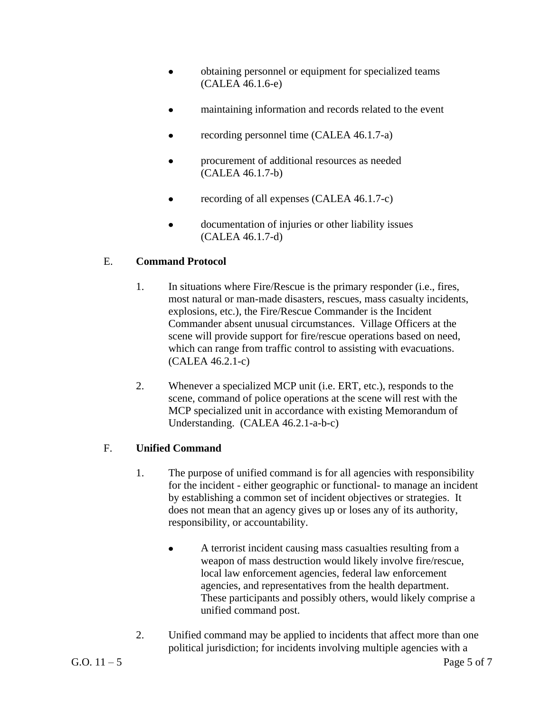- obtaining personnel or equipment for specialized teams (CALEA 46.1.6-e)
- maintaining information and records related to the event  $\bullet$
- recording personnel time (CALEA 46.1.7-a)
- procurement of additional resources as needed (CALEA 46.1.7-b)
- recording of all expenses (CALEA 46.1.7-c)  $\bullet$
- documentation of injuries or other liability issues (CALEA 46.1.7-d)

## E. **Command Protocol**

- 1. In situations where Fire/Rescue is the primary responder (i.e., fires, most natural or man-made disasters, rescues, mass casualty incidents, explosions, etc.), the Fire/Rescue Commander is the Incident Commander absent unusual circumstances. Village Officers at the scene will provide support for fire/rescue operations based on need, which can range from traffic control to assisting with evacuations. (CALEA 46.2.1-c)
- 2. Whenever a specialized MCP unit (i.e. ERT, etc.), responds to the scene, command of police operations at the scene will rest with the MCP specialized unit in accordance with existing Memorandum of Understanding. (CALEA 46.2.1-a-b-c)

## F. **Unified Command**

- 1. The purpose of unified command is for all agencies with responsibility for the incident - either geographic or functional- to manage an incident by establishing a common set of incident objectives or strategies. It does not mean that an agency gives up or loses any of its authority, responsibility, or accountability.
	- A terrorist incident causing mass casualties resulting from a weapon of mass destruction would likely involve fire/rescue, local law enforcement agencies, federal law enforcement agencies, and representatives from the health department. These participants and possibly others, would likely comprise a unified command post.
- 2. Unified command may be applied to incidents that affect more than one political jurisdiction; for incidents involving multiple agencies with a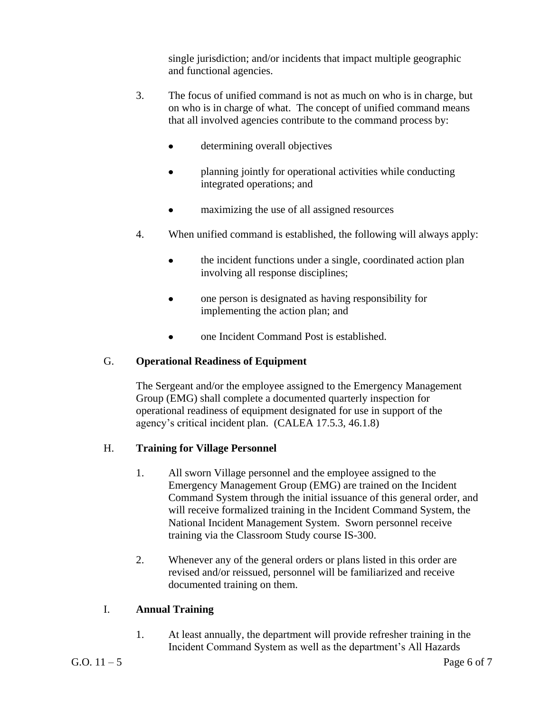single jurisdiction; and/or incidents that impact multiple geographic and functional agencies.

- 3. The focus of unified command is not as much on who is in charge, but on who is in charge of what. The concept of unified command means that all involved agencies contribute to the command process by:
	- determining overall objectives
	- planning jointly for operational activities while conducting  $\bullet$ integrated operations; and
	- maximizing the use of all assigned resources
- 4. When unified command is established, the following will always apply:
	- the incident functions under a single, coordinated action plan  $\bullet$ involving all response disciplines;
	- one person is designated as having responsibility for  $\bullet$ implementing the action plan; and
	- one Incident Command Post is established.

### G. **Operational Readiness of Equipment**

The Sergeant and/or the employee assigned to the Emergency Management Group (EMG) shall complete a documented quarterly inspection for operational readiness of equipment designated for use in support of the agency's critical incident plan. (CALEA 17.5.3, 46.1.8)

### H. **Training for Village Personnel**

- 1. All sworn Village personnel and the employee assigned to the Emergency Management Group (EMG) are trained on the Incident Command System through the initial issuance of this general order, and will receive formalized training in the Incident Command System, the National Incident Management System. Sworn personnel receive training via the Classroom Study course IS-300.
- 2. Whenever any of the general orders or plans listed in this order are revised and/or reissued, personnel will be familiarized and receive documented training on them.

### I. **Annual Training**

1. At least annually, the department will provide refresher training in the Incident Command System as well as the department's All Hazards